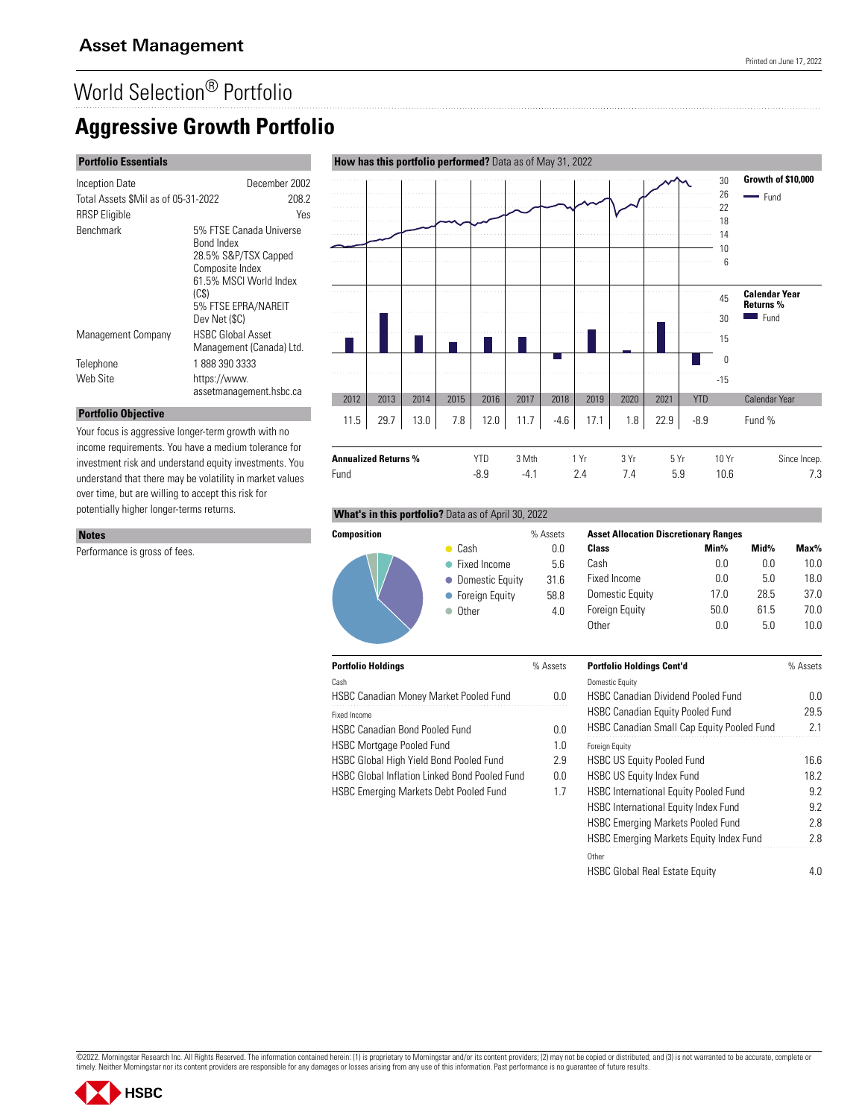## **Aggressive Growth Portfolio**

#### **Portfolio Essentials**

| Inception Date                      | December 2002                                                                                                                                              |  |
|-------------------------------------|------------------------------------------------------------------------------------------------------------------------------------------------------------|--|
| Total Assets \$Mil as of 05-31-2022 | 208.2                                                                                                                                                      |  |
| <b>RRSP</b> Eligible                | Yes                                                                                                                                                        |  |
| <b>Benchmark</b>                    | 5% FTSE Canada Universe<br>Bond Index<br>28.5% S&P/TSX Capped<br>Composite Index<br>61.5% MSCI World Index<br>(CS)<br>5% FTSE EPRA/NAREIT<br>Dev Net (\$C) |  |
| Management Company                  | <b>HSBC Global Asset</b><br>Management (Canada) Ltd.                                                                                                       |  |
| Telephone                           | 18883903333                                                                                                                                                |  |
| Web Site                            | https://www.<br>assetmanagement.hsbc.ca                                                                                                                    |  |

# **How has this portfolio performed?** Data as of May 31, 2022



Fund -8.9 -4.1 2.4 7.4 5.9 10.6 7.3

#### **Portfolio Objective** Your focus is aggressive longer-term growth with no

income requirements. You have a medium tolerance for investment risk and understand equity investments. You understand that there may be volatility in market values over time, but are willing to accept this risk for potentially higher longer-terms returns.

#### **Notes**

Performance is gross of fees.

#### **What's in this portfolio?** Data as of April 30, 2022



| - 3  |          |  |
|------|----------|--|
| ____ | v<br>. . |  |
|      |          |  |

| Cash                                          |     |
|-----------------------------------------------|-----|
| <b>HSBC Canadian Money Market Pooled Fund</b> | n n |
| Fixed Income                                  |     |

**Portfolio Holdings** % Assets

HSBC Canadian Bond Pooled Fund 0.0 HSBC Mortgage Pooled Fund 1.0

HSBC Global High Yield Bond Pooled Fund 2.9

HSBC Global Inflation Linked Bond Pooled Fund 0.0

HSBC Emerging Markets Debt Pooled Fund 1.7

|   | <b>Asset Allocation Discretionary Ranges</b> |      |      |         |
|---|----------------------------------------------|------|------|---------|
|   | Class                                        | Min% | Mid% | $Max\%$ |
|   | Cash                                         | 0.0  | 0.0  | 10.0    |
| ì | Fixed Income                                 | 0.0  | 5.0  | 18.0    |
|   | Domestic Equity                              | 17.0 | 28.5 | 37.0    |
|   | <b>Foreign Equity</b>                        | 50.0 | 61.5 | 70.0    |
|   | Other                                        | 0.0  | 5.0  | 10.0    |

| <b>Portfolio Holdings Cont'd</b>                  | % Assets |
|---------------------------------------------------|----------|
| <b>Domestic Equity</b>                            |          |
| HSBC Canadian Dividend Pooled Fund                | 0.0      |
| <b>HSBC Canadian Equity Pooled Fund</b>           | 29.5     |
| <b>HSBC Canadian Small Cap Equity Pooled Fund</b> | 2.1      |
| <b>Foreign Equity</b>                             |          |
| <b>HSBC US Equity Pooled Fund</b>                 | 16.6     |
| <b>HSBC US Equity Index Fund</b>                  | 18.2     |
| <b>HSBC International Equity Pooled Fund</b>      | 9.2      |
| <b>HSBC International Equity Index Fund</b>       | 92       |
| <b>HSBC Emerging Markets Pooled Fund</b>          | 2.8      |
| <b>HSBC Emerging Markets Equity Index Fund</b>    | 2.8      |
| Other                                             |          |
| <b>HSBC Global Real Estate Equity</b>             |          |

©2022. Morningstar Research Inc. All Rights Reserved. The information contained herein: (1) is proprietary to Morningstar and/or its content providers; (2) may not be copied or distributed; and (3) is not warranted to be a